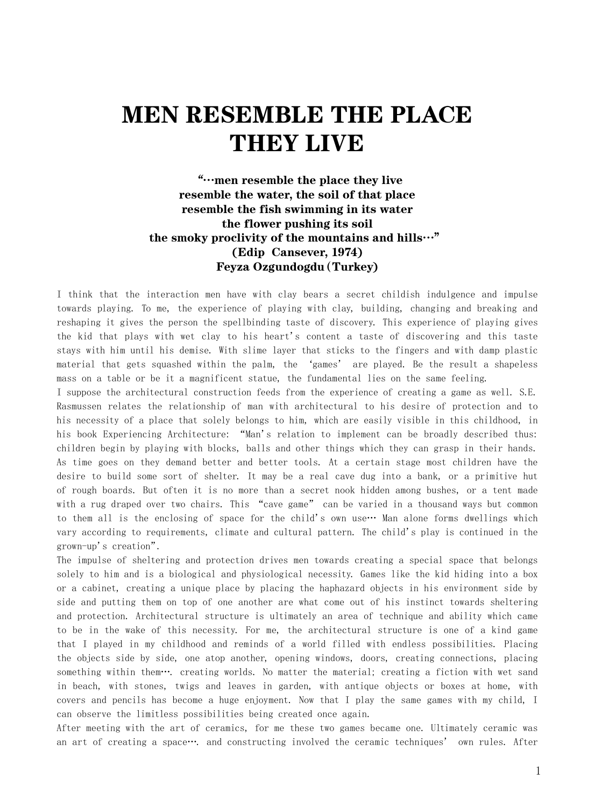## MEN RESEMBLE THE PLACE THEY LIVE

## "…men resemble the place they live resemble the water, the soil of that place resemble the fish swimming in its water the flower pushing its soil the smoky proclivity of the mountains and hills…" (Edip Cansever, 1974) Feyza Ozgundogdu(Turkey)

I think that the interaction men have with clay bears a secret childish indulgence and impulse towards playing. To me, the experience of playing with clay, building, changing and breaking and reshaping it gives the person the spellbinding taste of discovery. This experience of playing gives the kid that plays with wet clay to his heart's content a taste of discovering and this taste stays with him until his demise. With slime layer that sticks to the fingers and with damp plastic material that gets squashed within the palm, the 'games' are played. Be the result a shapeless mass on a table or be it a magnificent statue, the fundamental lies on the same feeling.

I suppose the architectural construction feeds from the experience of creating a game as well. S.E. Rasmussen relates the relationship of man with architectural to his desire of protection and to his necessity of a place that solely belongs to him, which are easily visible in this childhood, in his book Experiencing Architecture: "Man's relation to implement can be broadly described thus: children begin by playing with blocks, balls and other things which they can grasp in their hands. As time goes on they demand better and better tools. At a certain stage most children have the desire to build some sort of shelter. It may be a real cave dug into a bank, or a primitive hut of rough boards. But often it is no more than a secret nook hidden among bushes, or a tent made with a rug draped over two chairs. This "cave game" can be varied in a thousand ways but common to them all is the enclosing of space for the child's own use… Man alone forms dwellings which vary according to requirements, climate and cultural pattern. The child's play is continued in the grown-up's creation".

The impulse of sheltering and protection drives men towards creating a special space that belongs solely to him and is a biological and physiological necessity. Games like the kid hiding into a box or a cabinet, creating a unique place by placing the haphazard objects in his environment side by side and putting them on top of one another are what come out of his instinct towards sheltering and protection. Architectural structure is ultimately an area of technique and ability which came to be in the wake of this necessity. For me, the architectural structure is one of a kind game that I played in my childhood and reminds of a world filled with endless possibilities. Placing the objects side by side, one atop another, opening windows, doors, creating connections, placing something within them…. creating worlds. No matter the material; creating a fiction with wet sand in beach, with stones, twigs and leaves in garden, with antique objects or boxes at home, with covers and pencils has become a huge enjoyment. Now that I play the same games with my child, I can observe the limitless possibilities being created once again.

After meeting with the art of ceramics, for me these two games became one. Ultimately ceramic was an art of creating a space…. and constructing involved the ceramic techniques' own rules. After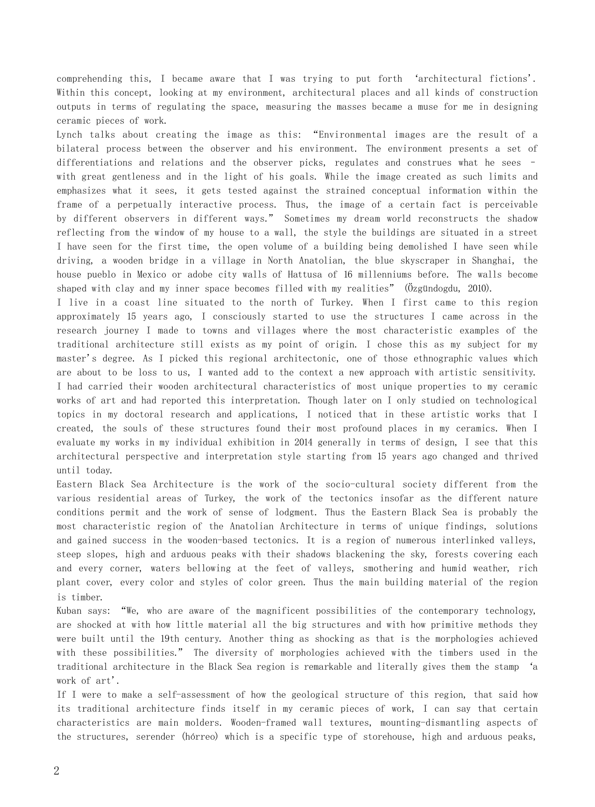comprehending this, I became aware that I was trying to put forth 'architectural fictions'. Within this concept, looking at my environment, architectural places and all kinds of construction outputs in terms of regulating the space, measuring the masses became a muse for me in designing ceramic pieces of work.

Lynch talks about creating the image as this: "Environmental images are the result of a bilateral process between the observer and his environment. The environment presents a set of differentiations and relations and the observer picks, regulates and construes what he sees – with great gentleness and in the light of his goals. While the image created as such limits and emphasizes what it sees, it gets tested against the strained conceptual information within the frame of a perpetually interactive process. Thus, the image of a certain fact is perceivable by different observers in different ways." Sometimes my dream world reconstructs the shadow reflecting from the window of my house to a wall, the style the buildings are situated in a street I have seen for the first time, the open volume of a building being demolished I have seen while driving, a wooden bridge in a village in North Anatolian, the blue skyscraper in Shanghai, the house pueblo in Mexico or adobe city walls of Hattusa of 16 millenniums before. The walls become shaped with clay and my inner space becomes filled with my realities" (Özgündogdu, 2010).

I live in a coast line situated to the north of Turkey. When I first came to this region approximately 15 years ago, I consciously started to use the structures I came across in the research journey I made to towns and villages where the most characteristic examples of the traditional architecture still exists as my point of origin. I chose this as my subject for my master's degree. As I picked this regional architectonic, one of those ethnographic values which are about to be loss to us, I wanted add to the context a new approach with artistic sensitivity. I had carried their wooden architectural characteristics of most unique properties to my ceramic works of art and had reported this interpretation. Though later on I only studied on technological topics in my doctoral research and applications, I noticed that in these artistic works that I created, the souls of these structures found their most profound places in my ceramics. When I evaluate my works in my individual exhibition in 2014 generally in terms of design, I see that this architectural perspective and interpretation style starting from 15 years ago changed and thrived until today.

Eastern Black Sea Architecture is the work of the socio-cultural society different from the various residential areas of Turkey, the work of the tectonics insofar as the different nature conditions permit and the work of sense of lodgment. Thus the Eastern Black Sea is probably the most characteristic region of the Anatolian Architecture in terms of unique findings, solutions and gained success in the wooden-based tectonics. It is a region of numerous interlinked valleys, steep slopes, high and arduous peaks with their shadows blackening the sky, forests covering each and every corner, waters bellowing at the feet of valleys, smothering and humid weather, rich plant cover, every color and styles of color green. Thus the main building material of the region is timber.

Kuban says: "We, who are aware of the magnificent possibilities of the contemporary technology, are shocked at with how little material all the big structures and with how primitive methods they were built until the 19th century. Another thing as shocking as that is the morphologies achieved with these possibilities." The diversity of morphologies achieved with the timbers used in the traditional architecture in the Black Sea region is remarkable and literally gives them the stamp 'a work of art'.

If I were to make a self-assessment of how the geological structure of this region, that said how its traditional architecture finds itself in my ceramic pieces of work, I can say that certain characteristics are main molders. Wooden-framed wall textures, mounting-dismantling aspects of the structures, serender (hórreo) which is a specific type of storehouse, high and arduous peaks,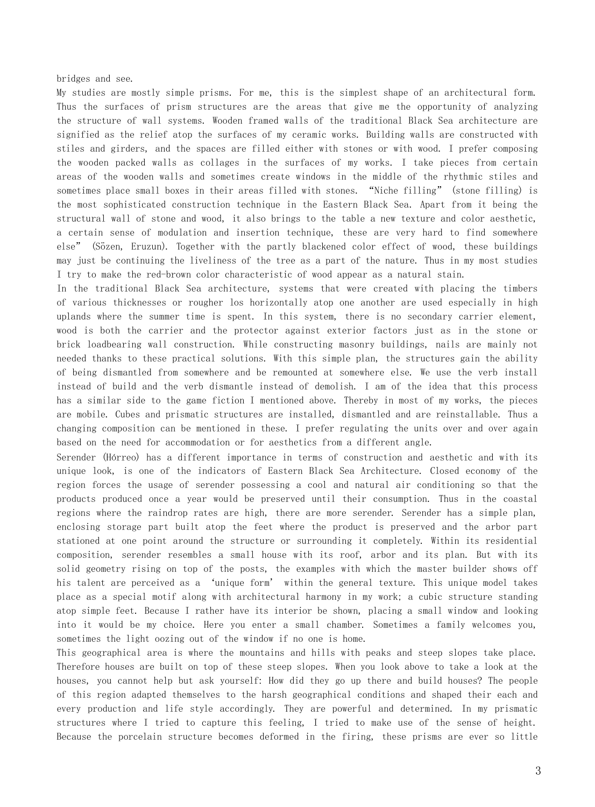bridges and see.

My studies are mostly simple prisms. For me, this is the simplest shape of an architectural form. Thus the surfaces of prism structures are the areas that give me the opportunity of analyzing the structure of wall systems. Wooden framed walls of the traditional Black Sea architecture are signified as the relief atop the surfaces of my ceramic works. Building walls are constructed with stiles and girders, and the spaces are filled either with stones or with wood. I prefer composing the wooden packed walls as collages in the surfaces of my works. I take pieces from certain areas of the wooden walls and sometimes create windows in the middle of the rhythmic stiles and sometimes place small boxes in their areas filled with stones. "Niche filling" (stone filling) is the most sophisticated construction technique in the Eastern Black Sea. Apart from it being the structural wall of stone and wood, it also brings to the table a new texture and color aesthetic, a certain sense of modulation and insertion technique, these are very hard to find somewhere else" (Sözen, Eruzun). Together with the partly blackened color effect of wood, these buildings may just be continuing the liveliness of the tree as a part of the nature. Thus in my most studies I try to make the red-brown color characteristic of wood appear as a natural stain.

In the traditional Black Sea architecture, systems that were created with placing the timbers of various thicknesses or rougher los horizontally atop one another are used especially in high uplands where the summer time is spent. In this system, there is no secondary carrier element, wood is both the carrier and the protector against exterior factors just as in the stone or brick loadbearing wall construction. While constructing masonry buildings, nails are mainly not needed thanks to these practical solutions. With this simple plan, the structures gain the ability of being dismantled from somewhere and be remounted at somewhere else. We use the verb install instead of build and the verb dismantle instead of demolish. I am of the idea that this process has a similar side to the game fiction I mentioned above. Thereby in most of my works, the pieces are mobile. Cubes and prismatic structures are installed, dismantled and are reinstallable. Thus a changing composition can be mentioned in these. I prefer regulating the units over and over again based on the need for accommodation or for aesthetics from a different angle.

Serender (Hórreo) has a different importance in terms of construction and aesthetic and with its unique look, is one of the indicators of Eastern Black Sea Architecture. Closed economy of the region forces the usage of serender possessing a cool and natural air conditioning so that the products produced once a year would be preserved until their consumption. Thus in the coastal regions where the raindrop rates are high, there are more serender. Serender has a simple plan, enclosing storage part built atop the feet where the product is preserved and the arbor part stationed at one point around the structure or surrounding it completely. Within its residential composition, serender resembles a small house with its roof, arbor and its plan. But with its solid geometry rising on top of the posts, the examples with which the master builder shows off his talent are perceived as a 'unique form' within the general texture. This unique model takes place as a special motif along with architectural harmony in my work; a cubic structure standing atop simple feet. Because I rather have its interior be shown, placing a small window and looking into it would be my choice. Here you enter a small chamber. Sometimes a family welcomes you, sometimes the light oozing out of the window if no one is home.

This geographical area is where the mountains and hills with peaks and steep slopes take place. Therefore houses are built on top of these steep slopes. When you look above to take a look at the houses, you cannot help but ask yourself: How did they go up there and build houses? The people of this region adapted themselves to the harsh geographical conditions and shaped their each and every production and life style accordingly. They are powerful and determined. In my prismatic structures where I tried to capture this feeling, I tried to make use of the sense of height. Because the porcelain structure becomes deformed in the firing, these prisms are ever so little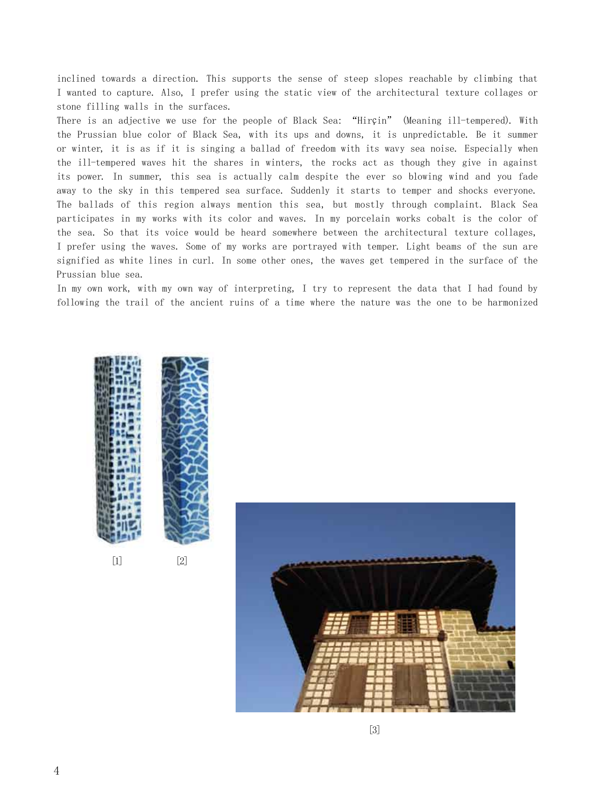inclined towards a direction. This supports the sense of steep slopes reachable by climbing that I wanted to capture. Also, I prefer using the static view of the architectural texture collages or stone filling walls in the surfaces.

There is an adjective we use for the people of Black Sea: "Hirçin" (Meaning ill-tempered). With the Prussian blue color of Black Sea, with its ups and downs, it is unpredictable. Be it summer or winter, it is as if it is singing a ballad of freedom with its wavy sea noise. Especially when the ill-tempered waves hit the shares in winters, the rocks act as though they give in against its power. In summer, this sea is actually calm despite the ever so blowing wind and you fade away to the sky in this tempered sea surface. Suddenly it starts to temper and shocks everyone. The ballads of this region always mention this sea, but mostly through complaint. Black Sea participates in my works with its color and waves. In my porcelain works cobalt is the color of the sea. So that its voice would be heard somewhere between the architectural texture collages, I prefer using the waves. Some of my works are portrayed with temper. Light beams of the sun are signified as white lines in curl. In some other ones, the waves get tempered in the surface of the Prussian blue sea.

In my own work, with my own way of interpreting, I try to represent the data that I had found by following the trail of the ancient ruins of a time where the nature was the one to be harmonized